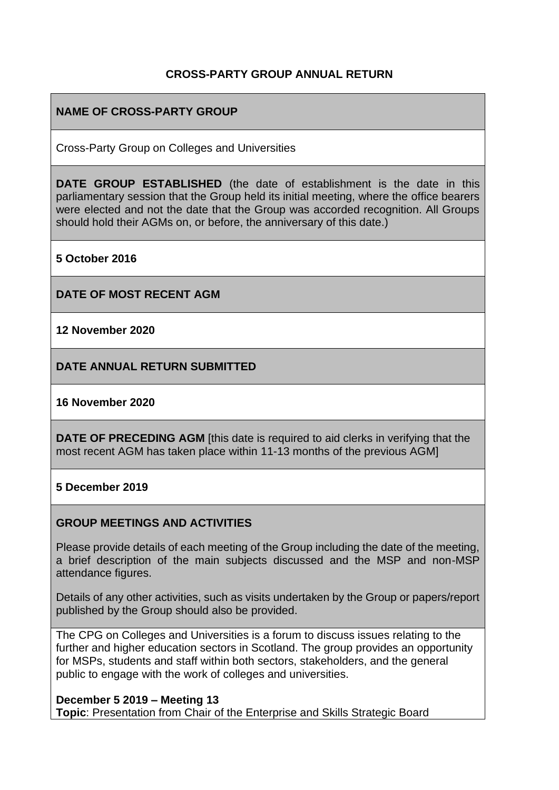## **CROSS-PARTY GROUP ANNUAL RETURN**

### **NAME OF CROSS-PARTY GROUP**

Cross-Party Group on Colleges and Universities

**DATE GROUP ESTABLISHED** (the date of establishment is the date in this parliamentary session that the Group held its initial meeting, where the office bearers were elected and not the date that the Group was accorded recognition. All Groups should hold their AGMs on, or before, the anniversary of this date.)

**5 October 2016**

**DATE OF MOST RECENT AGM**

**12 November 2020**

**DATE ANNUAL RETURN SUBMITTED**

#### **16 November 2020**

**DATE OF PRECEDING AGM** [this date is required to aid clerks in verifying that the most recent AGM has taken place within 11-13 months of the previous AGM]

#### **5 December 2019**

#### **GROUP MEETINGS AND ACTIVITIES**

Please provide details of each meeting of the Group including the date of the meeting, a brief description of the main subjects discussed and the MSP and non-MSP attendance figures.

Details of any other activities, such as visits undertaken by the Group or papers/report published by the Group should also be provided.

The CPG on Colleges and Universities is a forum to discuss issues relating to the further and higher education sectors in Scotland. The group provides an opportunity for MSPs, students and staff within both sectors, stakeholders, and the general public to engage with the work of colleges and universities.

#### **December 5 2019 – Meeting 13**

**Topic**: Presentation from Chair of the Enterprise and Skills Strategic Board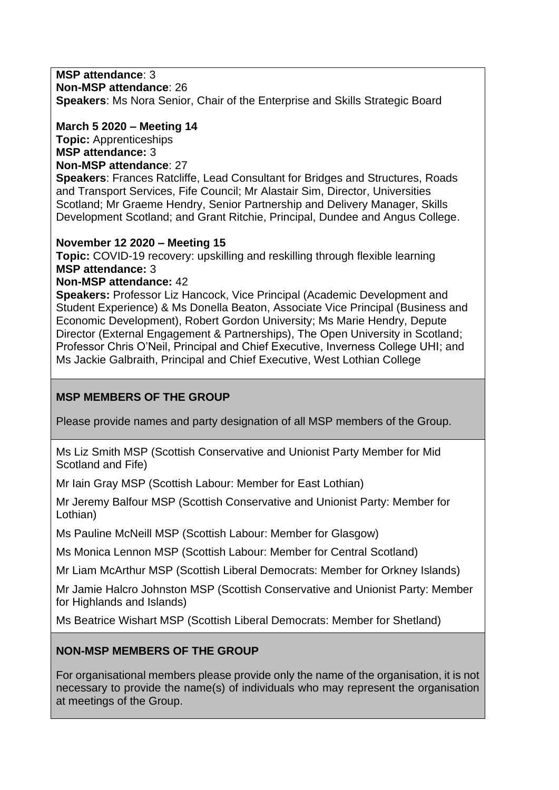### **MSP attendance**: 3

**Non-MSP attendance**: 26

**Speakers**: Ms Nora Senior, Chair of the Enterprise and Skills Strategic Board

**March 5 2020 – Meeting 14 Topic:** Apprenticeships **MSP attendance:** 3 **Non-MSP attendance**: 27

**Speakers**: Frances Ratcliffe, Lead Consultant for Bridges and Structures, Roads and Transport Services, Fife Council; Mr Alastair Sim, Director, Universities Scotland; Mr Graeme Hendry, Senior Partnership and Delivery Manager, Skills Development Scotland; and Grant Ritchie, Principal, Dundee and Angus College.

### **November 12 2020 – Meeting 15**

**Topic:** COVID-19 recovery: upskilling and reskilling through flexible learning **MSP attendance:** 3

## **Non-MSP attendance:** 42

**Speakers:** Professor Liz Hancock, Vice Principal (Academic Development and Student Experience) & Ms Donella Beaton, Associate Vice Principal (Business and Economic Development), Robert Gordon University; Ms Marie Hendry, Depute Director (External Engagement & Partnerships), The Open University in Scotland; Professor Chris O'Neil, Principal and Chief Executive, Inverness College UHI; and Ms Jackie Galbraith, Principal and Chief Executive, West Lothian College

## **MSP MEMBERS OF THE GROUP**

Please provide names and party designation of all MSP members of the Group.

Ms Liz Smith MSP (Scottish Conservative and Unionist Party Member for Mid Scotland and Fife)

Mr Iain Gray MSP (Scottish Labour: Member for East Lothian)

Mr Jeremy Balfour MSP (Scottish Conservative and Unionist Party: Member for Lothian)

Ms Pauline McNeill MSP (Scottish Labour: Member for Glasgow)

Ms Monica Lennon MSP (Scottish Labour: Member for Central Scotland)

Mr Liam McArthur MSP (Scottish Liberal Democrats: Member for Orkney Islands)

Mr Jamie Halcro Johnston MSP (Scottish Conservative and Unionist Party: Member for Highlands and Islands)

Ms Beatrice Wishart MSP (Scottish Liberal Democrats: Member for Shetland)

## **NON-MSP MEMBERS OF THE GROUP**

For organisational members please provide only the name of the organisation, it is not necessary to provide the name(s) of individuals who may represent the organisation at meetings of the Group.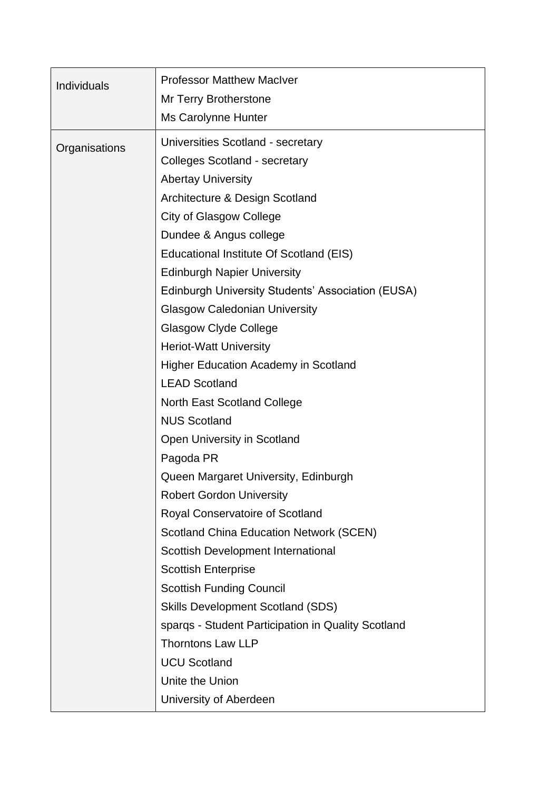| Individuals   | <b>Professor Matthew MacIver</b><br><b>Mr Terry Brotherstone</b><br>Ms Carolynne Hunter |
|---------------|-----------------------------------------------------------------------------------------|
| Organisations | Universities Scotland - secretary<br><b>Colleges Scotland - secretary</b>               |
|               | <b>Abertay University</b>                                                               |
|               | Architecture & Design Scotland                                                          |
|               | City of Glasgow College                                                                 |
|               | Dundee & Angus college                                                                  |
|               | Educational Institute Of Scotland (EIS)                                                 |
|               | <b>Edinburgh Napier University</b>                                                      |
|               | <b>Edinburgh University Students' Association (EUSA)</b>                                |
|               | <b>Glasgow Caledonian University</b>                                                    |
|               | <b>Glasgow Clyde College</b>                                                            |
|               | <b>Heriot-Watt University</b>                                                           |
|               | <b>Higher Education Academy in Scotland</b>                                             |
|               | <b>LEAD Scotland</b>                                                                    |
|               | <b>North East Scotland College</b>                                                      |
|               | <b>NUS Scotland</b>                                                                     |
|               | Open University in Scotland                                                             |
|               | Pagoda PR                                                                               |
|               | Queen Margaret University, Edinburgh                                                    |
|               | <b>Robert Gordon University</b>                                                         |
|               | Royal Conservatoire of Scotland                                                         |
|               | <b>Scotland China Education Network (SCEN)</b>                                          |
|               | Scottish Development International                                                      |
|               | <b>Scottish Enterprise</b>                                                              |
|               | <b>Scottish Funding Council</b>                                                         |
|               | <b>Skills Development Scotland (SDS)</b>                                                |
|               | sparqs - Student Participation in Quality Scotland                                      |
|               | <b>Thorntons Law LLP</b>                                                                |
|               | <b>UCU Scotland</b>                                                                     |
|               | Unite the Union                                                                         |
|               | University of Aberdeen                                                                  |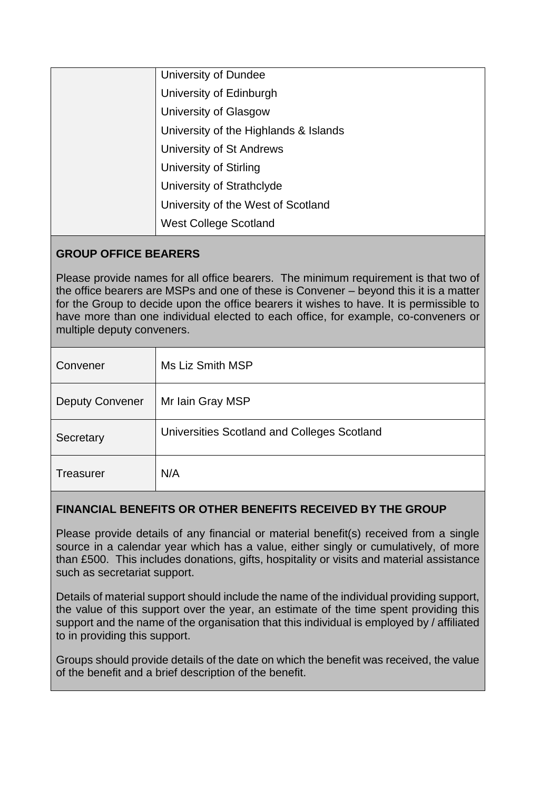| University of Dundee                  |
|---------------------------------------|
| University of Edinburgh               |
| University of Glasgow                 |
| University of the Highlands & Islands |
| University of St Andrews              |
| <b>University of Stirling</b>         |
| University of Strathclyde             |
| University of the West of Scotland    |
| <b>West College Scotland</b>          |
|                                       |

## **GROUP OFFICE BEARERS**

Please provide names for all office bearers. The minimum requirement is that two of the office bearers are MSPs and one of these is Convener – beyond this it is a matter for the Group to decide upon the office bearers it wishes to have. It is permissible to have more than one individual elected to each office, for example, co-conveners or multiple deputy conveners.

| Convener               | Ms Liz Smith MSP                            |
|------------------------|---------------------------------------------|
| <b>Deputy Convener</b> | Mr Iain Gray MSP                            |
| Secretary              | Universities Scotland and Colleges Scotland |
| <b>Treasurer</b>       | N/A                                         |

# **FINANCIAL BENEFITS OR OTHER BENEFITS RECEIVED BY THE GROUP**

Please provide details of any financial or material benefit(s) received from a single source in a calendar year which has a value, either singly or cumulatively, of more than £500. This includes donations, gifts, hospitality or visits and material assistance such as secretariat support.

Details of material support should include the name of the individual providing support, the value of this support over the year, an estimate of the time spent providing this support and the name of the organisation that this individual is employed by / affiliated to in providing this support.

Groups should provide details of the date on which the benefit was received, the value of the benefit and a brief description of the benefit.